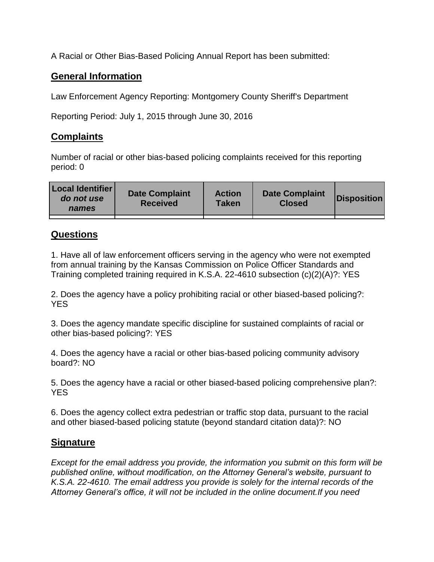A Racial or Other Bias-Based Policing Annual Report has been submitted:

## **General Information**

Law Enforcement Agency Reporting: Montgomery County Sheriff's Department

Reporting Period: July 1, 2015 through June 30, 2016

## **Complaints**

Number of racial or other bias-based policing complaints received for this reporting period: 0

| <b>Local Identifier</b><br>do not use<br>names | <b>Date Complaint</b><br><b>Received</b> | <b>Action</b><br><b>Taken</b> | <b>Date Complaint</b><br><b>Closed</b> | Disposition |
|------------------------------------------------|------------------------------------------|-------------------------------|----------------------------------------|-------------|
|                                                |                                          |                               |                                        |             |

## **Questions**

1. Have all of law enforcement officers serving in the agency who were not exempted from annual training by the Kansas Commission on Police Officer Standards and Training completed training required in K.S.A. 22-4610 subsection (c)(2)(A)?: YES

2. Does the agency have a policy prohibiting racial or other biased-based policing?: YES

3. Does the agency mandate specific discipline for sustained complaints of racial or other bias-based policing?: YES

4. Does the agency have a racial or other bias-based policing community advisory board?: NO

5. Does the agency have a racial or other biased-based policing comprehensive plan?: YES

6. Does the agency collect extra pedestrian or traffic stop data, pursuant to the racial and other biased-based policing statute (beyond standard citation data)?: NO

## **Signature**

*Except for the email address you provide, the information you submit on this form will be published online, without modification, on the Attorney General's website, pursuant to K.S.A. 22-4610. The email address you provide is solely for the internal records of the Attorney General's office, it will not be included in the online document.If you need*